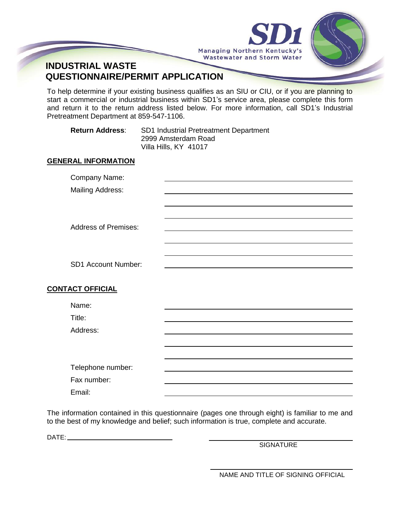



# **INDUSTRIAL WASTE QUESTIONNAIRE/PERMIT APPLICATION**

To help determine if your existing business qualifies as an SIU or CIU, or if you are planning to start a commercial or industrial business within SD1's service area, please complete this form and return it to the return address listed below. For more information, call SD1's Industrial Pretreatment Department at 859-547-1106.

**Return Address**: SD1 Industrial Pretreatment Department 2999 Amsterdam Road Villa Hills, KY 41017

## **GENERAL INFORMATION**

| Company Name:               |  |
|-----------------------------|--|
| <b>Mailing Address:</b>     |  |
|                             |  |
|                             |  |
| <b>Address of Premises:</b> |  |
|                             |  |
|                             |  |
|                             |  |
| SD1 Account Number:         |  |
|                             |  |
| <b>CONTACT OFFICIAL</b>     |  |
| Name:                       |  |
| Title:                      |  |
| Address:                    |  |
|                             |  |
|                             |  |
|                             |  |
| Telephone number:           |  |
| Fax number:                 |  |
| Email:                      |  |

The information contained in this questionnaire (pages one through eight) is familiar to me and to the best of my knowledge and belief; such information is true, complete and accurate.

DATE:

**SIGNATURE** 

NAME AND TITLE OF SIGNING OFFICIAL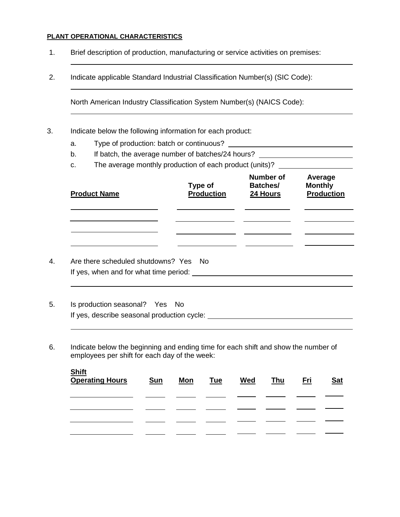#### **PLANT OPERATIONAL CHARACTERISTICS**

- 1. Brief description of production, manufacturing or service activities on premises:
- 2. Indicate applicable Standard Industrial Classification Number(s) (SIC Code):

North American Industry Classification System Number(s) (NAICS Code):

- 3. Indicate below the following information for each product:
	- a. Type of production: batch or continuous?
	- b. If batch, the average number of batches/24 hours?
	- c. The average monthly production of each product (units)? \_\_\_\_\_\_\_\_\_\_\_\_\_\_\_\_\_\_\_\_\_

- 5. Is production seasonal? Yes No If yes, describe seasonal production cycle:
- 6. Indicate below the beginning and ending time for each shift and show the number of employees per shift for each day of the week:

| <b>Shift</b><br>Operating Hours | <b>Sun</b> | Mon | Tue | <b>Wed</b> | <b>Thu</b> | <u>Eri</u> | <u>Sat</u> |
|---------------------------------|------------|-----|-----|------------|------------|------------|------------|
|                                 |            |     |     |            |            |            |            |
|                                 |            |     |     |            |            |            |            |
|                                 |            |     |     |            |            |            |            |
|                                 |            |     |     |            |            |            |            |

i<br>L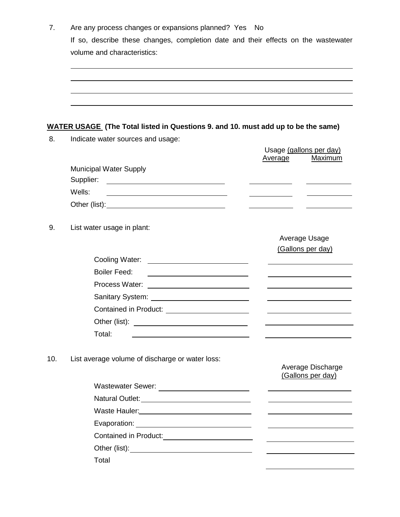| 7.  | Are any process changes or expansions planned? Yes No<br>If so, describe these changes, completion date and their effects on the wastewater |                                                                                                                       |
|-----|---------------------------------------------------------------------------------------------------------------------------------------------|-----------------------------------------------------------------------------------------------------------------------|
|     | volume and characteristics:                                                                                                                 |                                                                                                                       |
|     |                                                                                                                                             |                                                                                                                       |
|     |                                                                                                                                             |                                                                                                                       |
|     |                                                                                                                                             |                                                                                                                       |
|     |                                                                                                                                             |                                                                                                                       |
|     |                                                                                                                                             |                                                                                                                       |
|     | <b>WATER USAGE</b> (The Total listed in Questions 9. and 10. must add up to be the same)                                                    |                                                                                                                       |
|     | Indicate water sources and usage:                                                                                                           |                                                                                                                       |
|     |                                                                                                                                             | Usage (gallons per day)<br>Maximum<br>Average                                                                         |
|     | <b>Municipal Water Supply</b>                                                                                                               |                                                                                                                       |
|     |                                                                                                                                             |                                                                                                                       |
|     | Wells:<br><u> 1980 - Johann Barn, mars ann an t-Amhain ann an t-Amhain an t-Amhain an t-Amhain an t-Amhain ann an t-Amhain </u>             |                                                                                                                       |
|     |                                                                                                                                             |                                                                                                                       |
|     |                                                                                                                                             |                                                                                                                       |
|     | List water usage in plant:                                                                                                                  |                                                                                                                       |
|     |                                                                                                                                             | Average Usage                                                                                                         |
|     |                                                                                                                                             | (Gallons per day)                                                                                                     |
|     |                                                                                                                                             |                                                                                                                       |
|     | <b>Boiler Feed:</b>                                                                                                                         |                                                                                                                       |
|     |                                                                                                                                             |                                                                                                                       |
|     |                                                                                                                                             |                                                                                                                       |
|     | <b>Contained in Product:</b>                                                                                                                |                                                                                                                       |
|     |                                                                                                                                             |                                                                                                                       |
|     | Total:<br><u> 1980 - Johann Stein, marwolaethau a bhann an t-Amhainn an t-Amhainn an t-Amhainn an t-Amhainn an t-Amhainn an</u>             |                                                                                                                       |
|     |                                                                                                                                             |                                                                                                                       |
| 10. | List average volume of discharge or water loss:                                                                                             | Average Discharge                                                                                                     |
|     |                                                                                                                                             | (Gallons per day)                                                                                                     |
|     |                                                                                                                                             | <u>experience</u> and the contract of the contract of the contract of the contract of the contract of the contract of |
|     |                                                                                                                                             |                                                                                                                       |
|     |                                                                                                                                             |                                                                                                                       |
|     |                                                                                                                                             |                                                                                                                       |
|     | Contained in Product:___________________________                                                                                            | the control of the control of the control of the control of the control of the control of                             |
|     |                                                                                                                                             |                                                                                                                       |
|     | Total                                                                                                                                       |                                                                                                                       |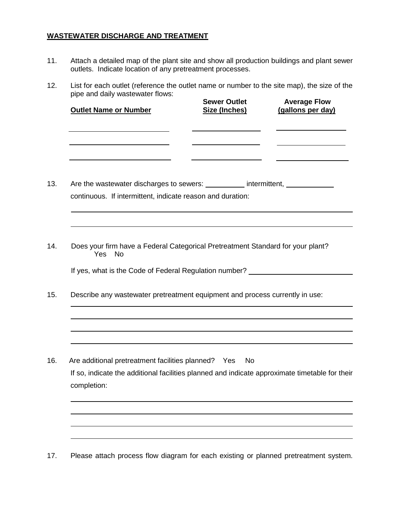## **WASTEWATER DISCHARGE AND TREATMENT**

- 11. Attach a detailed map of the plant site and show all production buildings and plant sewer outlets. Indicate location of any pretreatment processes.
- 12. List for each outlet (reference the outlet name or number to the site map), the size of the pipe and daily wastewater flows:

| <b>Outlet Name or Number</b>                                                                                                                   | <b>Sewer Outlet</b><br>Size (Inches) | <b>Average Flow</b><br>(gallons per day)          |
|------------------------------------------------------------------------------------------------------------------------------------------------|--------------------------------------|---------------------------------------------------|
|                                                                                                                                                |                                      | <u> 1989 - Johann Barbara, martxa alemaniar a</u> |
| Are the wastewater discharges to sewers: ___________ intermittent, _____________<br>continuous. If intermittent, indicate reason and duration: |                                      |                                                   |
|                                                                                                                                                |                                      |                                                   |
| Does your firm have a Federal Categorical Pretreatment Standard for your plant?<br><b>Yes</b><br><b>No</b>                                     |                                      |                                                   |
| If yes, what is the Code of Federal Regulation number? _________________________                                                               |                                      |                                                   |
| Describe any wastewater pretreatment equipment and process currently in use:                                                                   |                                      |                                                   |
|                                                                                                                                                |                                      |                                                   |
| Are additional pretreatment facilities planned? Yes                                                                                            | <b>No</b>                            |                                                   |
| If so, indicate the additional facilities planned and indicate approximate timetable for their<br>completion:                                  |                                      |                                                   |
|                                                                                                                                                |                                      |                                                   |
|                                                                                                                                                |                                      |                                                   |

17. Please attach process flow diagram for each existing or planned pretreatment system.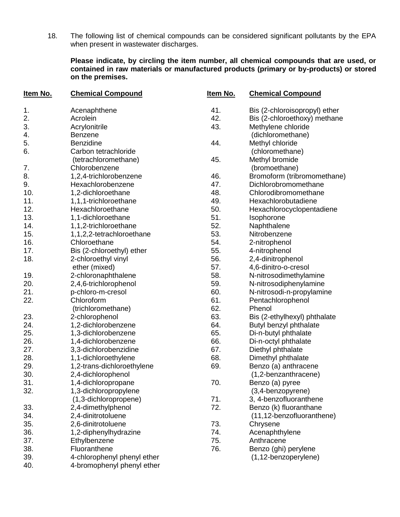18. The following list of chemical compounds can be considered significant pollutants by the EPA when present in wastewater discharges.

### **Please indicate, by circling the item number, all chemical compounds that are used, or contained in raw materials or manufactured products (primary or by-products) or stored on the premises.**

| <u>Item No.</u>  | <b>Chemical Compound</b>    | Item No. | <b>Chemical Compound</b>      |
|------------------|-----------------------------|----------|-------------------------------|
| 1.               | Acenaphthene                | 41.      | Bis (2-chloroisopropyl) ether |
| $\overline{2}$ . | Acrolein                    | 42.      | Bis (2-chloroethoxy) methane  |
| 3.               | Acrylonitrile               | 43.      | Methylene chloride            |
| 4.               | <b>Benzene</b>              |          | (dichloromethane)             |
| 5.               | <b>Benzidine</b>            | 44.      | Methyl chloride               |
| 6.               | Carbon tetrachloride        |          | (chloromethane)               |
|                  | (tetrachloromethane)        | 45.      | Methyl bromide                |
| 7.               | Chlorobenzene               |          | (bromoethane)                 |
| 8.               | 1,2,4-trichlorobenzene      | 46.      | Bromoform (tribromomethane)   |
| 9.               | Hexachlorobenzene           | 47.      | Dichlorobromomethane          |
| 10.              | 1,2-dichloroethane          | 48.      | Chlorodibromomethane          |
| 11.              | 1,1,1-trichloroethane       | 49.      | Hexachlorobutadiene           |
| 12.              | Hexachloroethane            | 50.      | Hexachlorocyclopentadiene     |
| 13.              | 1,1-dichloroethane          | 51.      | Isophorone                    |
| 14.              | 1,1,2-trichloroethane       | 52.      | Naphthalene                   |
| 15.              | 1,1,2,2-tetrachloroethane   | 53.      | Nitrobenzene                  |
| 16.              | Chloroethane                | 54.      | 2-nitrophenol                 |
| 17.              | Bis (2-chloroethyl) ether   | 55.      | 4-nitrophenol                 |
| 18.              | 2-chloroethyl vinyl         | 56.      | 2,4-dinitrophenol             |
|                  | ether (mixed)               | 57.      | 4,6-dinitro-o-cresol          |
| 19.              | 2-chloronaphthalene         | 58.      | N-nitrosodimethylamine        |
| 20.              | 2,4,6-trichlorophenol       | 59.      | N-nitrosodiphenylamine        |
| 21.              | p-chloro-m-cresol           | 60.      | N-nitrosodi-n-propylamine     |
| 22.              | Chloroform                  | 61.      | Pentachlorophenol             |
|                  | (trichloromethane)          | 62.      | Phenol                        |
| 23.              | 2-chlorophenol              | 63.      | Bis (2-ethylhexyl) phthalate  |
| 24.              | 1,2-dichlorobenzene         | 64.      | Butyl benzyl phthalate        |
| 25.              | 1,3-dichlorobenzene         | 65.      | Di-n-butyl phthalate          |
| 26.              | 1,4-dichlorobenzene         | 66.      | Di-n-octyl phthalate          |
| 27.              | 3,3-dichlorobenzidine       | 67.      | Diethyl phthalate             |
| 28.              | 1,1-dichloroethylene        | 68.      | Dimethyl phthalate            |
| 29.              | 1,2-trans-dichloroethylene  | 69.      | Benzo (a) anthracene          |
| 30.              | 2,4-dichlorophenol          |          | (1,2-benzanthracene)          |
| 31.              | 1,4-dichloropropane         | 70.      | Benzo (a) pyree               |
| 32.              | 1,3-dichloropropylene       |          | (3,4-benzopyrene)             |
|                  | (1,3-dichloropropene)       | 71.      | 3, 4-benzofluoranthene        |
| 33.              | 2,4-dimethylphenol          | 72.      | Benzo (k) fluoranthane        |
| 34.              | 2,4-dinitrotoluene          |          | (11,12-benzofluoranthene)     |
| 35.              | 2,6-dinitrotoluene          | 73.      | Chrysene                      |
| 36.              | 1,2-diphenylhydrazine       | 74.      | Acenaphthylene                |
| 37.              | Ethylbenzene                | 75.      | Anthracene                    |
| 38.              | Fluoranthene                | 76.      | Benzo (ghi) perylene          |
| 39.              | 4-chlorophenyl phenyl ether |          | (1,12-benzoperylene)          |
| 40.              | 4-bromophenyl phenyl ether  |          |                               |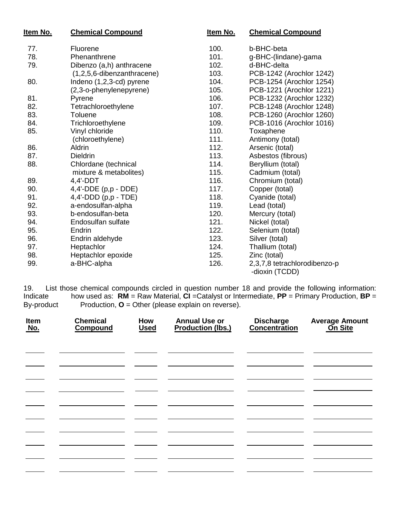| <u>Item No.</u> | <b>Chemical Compound</b>   | Item No. | <b>Chemical Compound</b>                       |
|-----------------|----------------------------|----------|------------------------------------------------|
| 77.             | Fluorene                   | 100.     | b-BHC-beta                                     |
| 78.             | Phenanthrene               | 101.     | g-BHC-(lindane)-gama                           |
| 79.             | Dibenzo (a,h) anthracene   | 102.     | d-BHC-delta                                    |
|                 | (1,2,5,6-dibenzanthracene) | 103.     | PCB-1242 (Arochlor 1242)                       |
| 80.             | Indeno (1,2,3-cd) pyrene   | 104.     | PCB-1254 (Arochlor 1254)                       |
|                 | (2,3-o-phenylenepyrene)    | 105.     | PCB-1221 (Arochlor 1221)                       |
| 81.             | Pyrene                     | 106.     | PCB-1232 (Arochlor 1232)                       |
| 82.             | Tetrachloroethylene        | 107.     | PCB-1248 (Arochlor 1248)                       |
| 83.             | Toluene                    | 108.     | PCB-1260 (Arochlor 1260)                       |
| 84.             | Trichloroethylene          | 109.     | PCB-1016 (Arochlor 1016)                       |
| 85.             | Vinyl chloride             | 110.     | Toxaphene                                      |
|                 | (chloroethylene)           | 111.     | Antimony (total)                               |
| 86.             | <b>Aldrin</b>              | 112.     | Arsenic (total)                                |
| 87.             | <b>Dieldrin</b>            | 113.     | Asbestos (fibrous)                             |
| 88.             | Chlordane (technical       | 114.     | Beryllium (total)                              |
|                 | mixture & metabolites)     | 115.     | Cadmium (total)                                |
| 89.             | 4,4'-DDT                   | 116.     | Chromium (total)                               |
| 90.             | $4,4'$ -DDE (p,p - DDE)    | 117.     | Copper (total)                                 |
| 91.             | $4,4'-DDD$ (p,p - TDE)     | 118.     | Cyanide (total)                                |
| 92.             | a-endosulfan-alpha         | 119.     | Lead (total)                                   |
| 93.             | b-endosulfan-beta          | 120.     | Mercury (total)                                |
| 94.             | Endosulfan sulfate         | 121.     | Nickel (total)                                 |
| 95.             | Endrin                     | 122.     | Selenium (total)                               |
| 96.             | Endrin aldehyde            | 123.     | Silver (total)                                 |
| 97.             | Heptachlor                 | 124.     | Thallium (total)                               |
| 98.             | Heptachlor epoxide         | 125.     | Zinc (total)                                   |
| 99.             | a-BHC-alpha                | 126.     | 2,3,7,8 tetrachlorodibenzo-p<br>-dioxin (TCDD) |

19. List those chemical compounds circled in question number 18 and provide the following information: Indicate how used as: **RM** = Raw Material, **CI** =Catalyst or Intermediate, **PP** = Primary Production, **BP** = By-product Production, **O** = Other (please explain on reverse).

| Item<br>No. | <b>Chemical</b><br><b>Compound</b> | How<br><b>Used</b> | <b>Annual Use or</b><br><b>Production (lbs.)</b> | Discharge<br>Concentration | <b>Average Amount</b><br><b>On Site</b> |
|-------------|------------------------------------|--------------------|--------------------------------------------------|----------------------------|-----------------------------------------|
|             |                                    |                    |                                                  |                            |                                         |
|             |                                    |                    |                                                  |                            |                                         |
|             |                                    |                    |                                                  |                            |                                         |
|             |                                    |                    |                                                  |                            |                                         |
|             |                                    |                    |                                                  |                            |                                         |
|             |                                    |                    |                                                  |                            |                                         |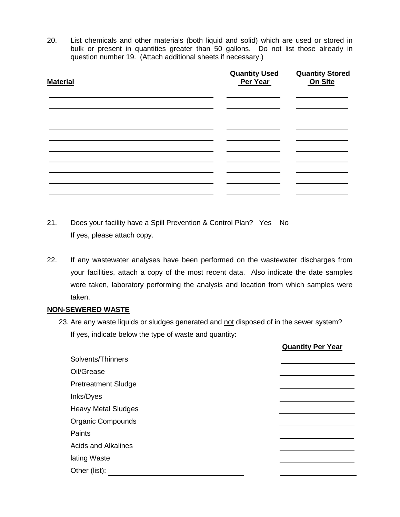20. List chemicals and other materials (both liquid and solid) which are used or stored in bulk or present in quantities greater than 50 gallons. Do not list those already in question number 19. (Attach additional sheets if necessary.)

| <b>Material</b> | <b>Quantity Used<br/>Per Year</b> | <b>Quantity Stored</b><br>On Site |
|-----------------|-----------------------------------|-----------------------------------|
|                 |                                   |                                   |
|                 |                                   |                                   |
|                 |                                   |                                   |
|                 |                                   |                                   |
|                 |                                   |                                   |

- 21. Does your facility have a Spill Prevention & Control Plan? Yes No If yes, please attach copy.
- 22. If any wastewater analyses have been performed on the wastewater discharges from your facilities, attach a copy of the most recent data. Also indicate the date samples were taken, laboratory performing the analysis and location from which samples were taken.

#### **NON-SEWERED WASTE**

23. Are any waste liquids or sludges generated and not disposed of in the sewer system? If yes, indicate below the type of waste and quantity:

|                            | <b>Quantity Per Year</b> |
|----------------------------|--------------------------|
| Solvents/Thinners          |                          |
| Oil/Grease                 |                          |
| <b>Pretreatment Sludge</b> |                          |
| Inks/Dyes                  |                          |
| <b>Heavy Metal Sludges</b> |                          |
| <b>Organic Compounds</b>   |                          |
| Paints                     |                          |
| <b>Acids and Alkalines</b> |                          |
| lating Waste               |                          |
| Other (list):              |                          |
|                            |                          |